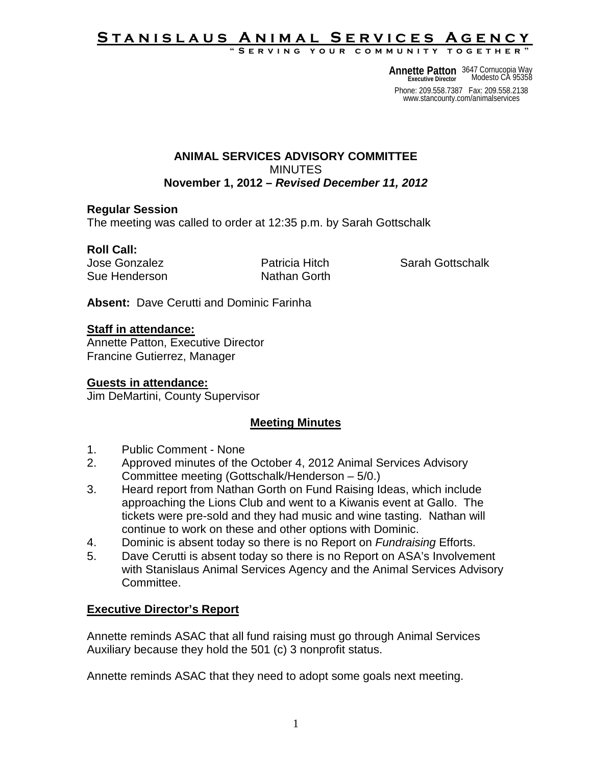#### **Stanislaus Animal Services Agency** YOUR COMMUNITY TOGETHER

**Annette Patton** 3647 Cornucopia Way<br> **Executive Director** Modesto CA 95358 **Executive Director**

Phone: 209.558.7387 Fax: 209.558.2138 www.stancounty.com/animalservices

#### **ANIMAL SERVICES ADVISORY COMMITTEE MINUTES November 1, 2012 –** *Revised December 11, 2012*

### **Regular Session**

The meeting was called to order at 12:35 p.m. by Sarah Gottschalk

## **Roll Call:**

Sue Henderson Nathan Gorth

Jose Gonzalez Patricia Hitch Sarah Gottschalk

**Absent:** Dave Cerutti and Dominic Farinha

### **Staff in attendance:**

Annette Patton, Executive Director Francine Gutierrez, Manager

### **Guests in attendance:**

Jim DeMartini, County Supervisor

# **Meeting Minutes**

- 1. Public Comment None
- 2. Approved minutes of the October 4, 2012 Animal Services Advisory Committee meeting (Gottschalk/Henderson – 5/0.)
- 3. Heard report from Nathan Gorth on Fund Raising Ideas, which include approaching the Lions Club and went to a Kiwanis event at Gallo. The tickets were pre-sold and they had music and wine tasting. Nathan will continue to work on these and other options with Dominic.
- 4. Dominic is absent today so there is no Report on *Fundraising* Efforts.
- 5. Dave Cerutti is absent today so there is no Report on ASA's Involvement with Stanislaus Animal Services Agency and the Animal Services Advisory Committee.

# **Executive Director's Report**

Annette reminds ASAC that all fund raising must go through Animal Services Auxiliary because they hold the 501 (c) 3 nonprofit status.

Annette reminds ASAC that they need to adopt some goals next meeting.